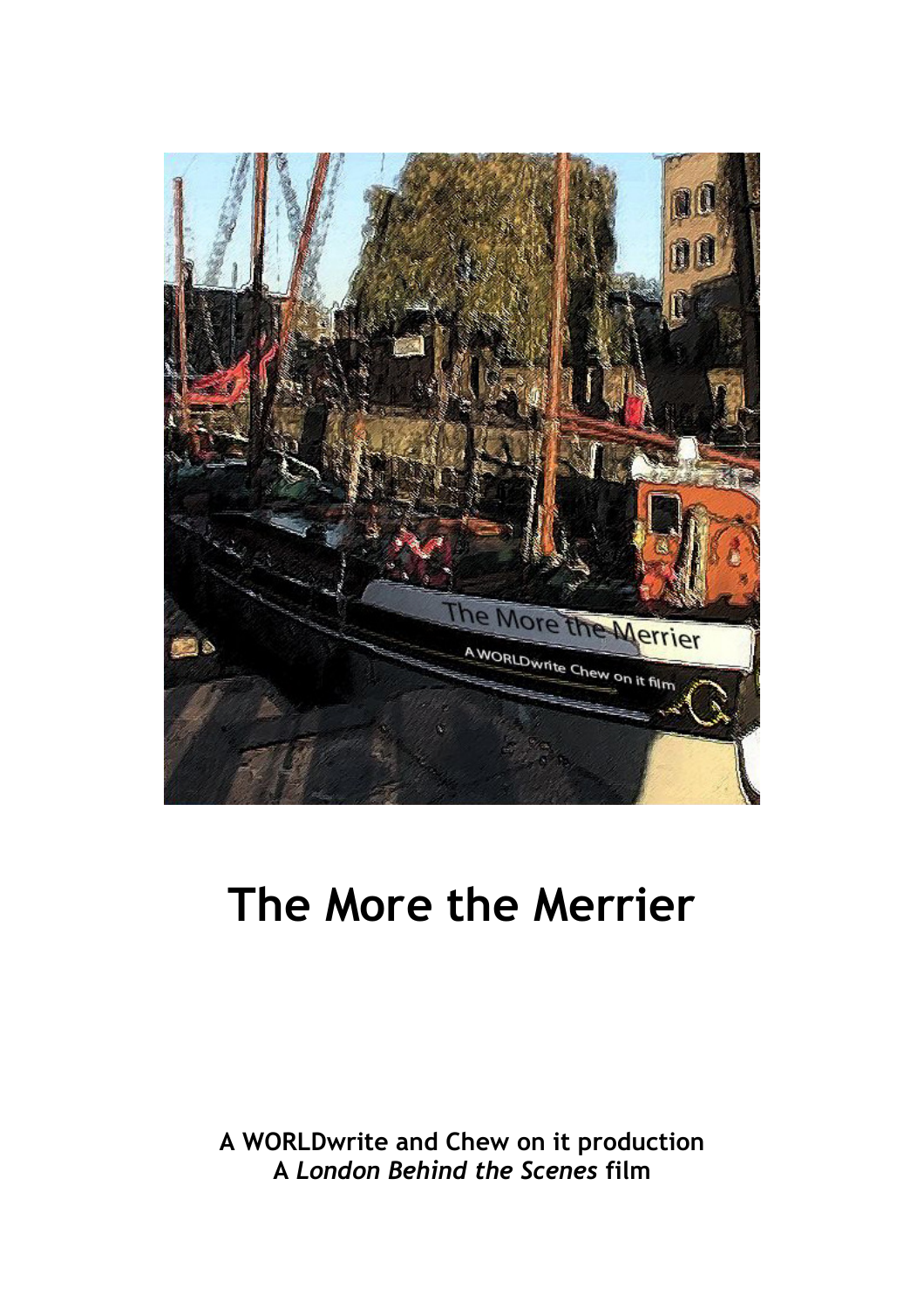

# The More the Merrier

A WORLDwrite and Chew on it production A London Behind the Scenes film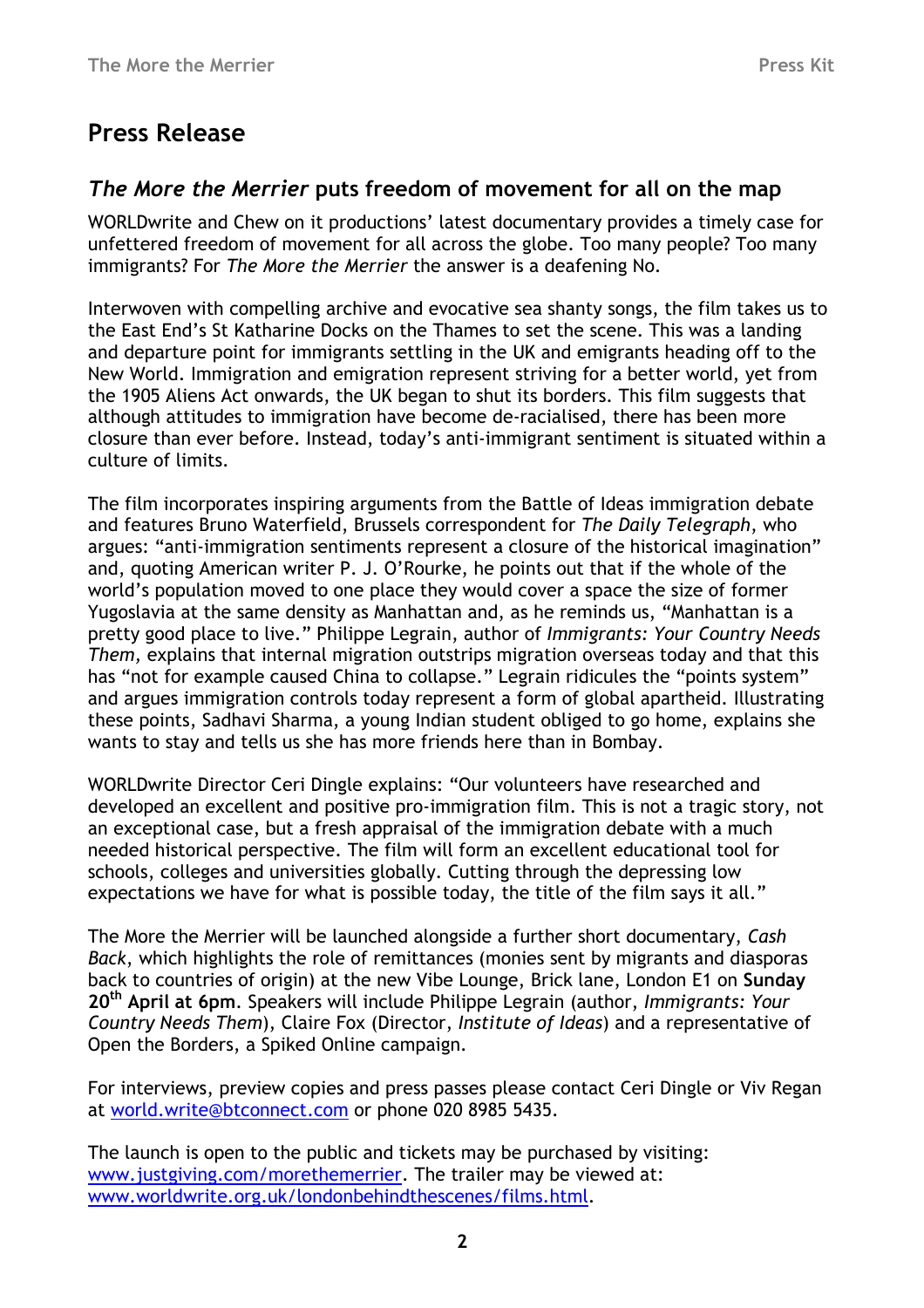# Press Release

### The More the Merrier puts freedom of movement for all on the map

WORLDwrite and Chew on it productions' latest documentary provides a timely case for unfettered freedom of movement for all across the globe. Too many people? Too many immigrants? For The More the Merrier the answer is a deafening No.

Interwoven with compelling archive and evocative sea shanty songs, the film takes us to the East End's St Katharine Docks on the Thames to set the scene. This was a landing and departure point for immigrants settling in the UK and emigrants heading off to the New World. Immigration and emigration represent striving for a better world, yet from the 1905 Aliens Act onwards, the UK began to shut its borders. This film suggests that although attitudes to immigration have become de-racialised, there has been more closure than ever before. Instead, today's anti-immigrant sentiment is situated within a culture of limits.

The film incorporates inspiring arguments from the Battle of Ideas immigration debate and features Bruno Waterfield, Brussels correspondent for The Daily Telegraph, who argues: "anti-immigration sentiments represent a closure of the historical imagination" and, quoting American writer P. J. O'Rourke, he points out that if the whole of the world's population moved to one place they would cover a space the size of former Yugoslavia at the same density as Manhattan and, as he reminds us, "Manhattan is a pretty good place to live." Philippe Legrain, author of Immigrants: Your Country Needs Them, explains that internal migration outstrips migration overseas today and that this has "not for example caused China to collapse." Legrain ridicules the "points system" and argues immigration controls today represent a form of global apartheid. Illustrating these points, Sadhavi Sharma, a young Indian student obliged to go home, explains she wants to stay and tells us she has more friends here than in Bombay.

WORLDwrite Director Ceri Dingle explains: "Our volunteers have researched and developed an excellent and positive pro-immigration film. This is not a tragic story, not an exceptional case, but a fresh appraisal of the immigration debate with a much needed historical perspective. The film will form an excellent educational tool for schools, colleges and universities globally. Cutting through the depressing low expectations we have for what is possible today, the title of the film says it all."

The More the Merrier will be launched alongside a further short documentary, Cash Back, which highlights the role of remittances (monies sent by migrants and diasporas back to countries of origin) at the new Vibe Lounge, Brick lane, London E1 on Sunday 20<sup>th</sup> April at 6pm. Speakers will include Philippe Legrain (author, Immigrants: Your Country Needs Them), Claire Fox (Director, Institute of Ideas) and a representative of Open the Borders, a Spiked Online campaign.

For interviews, preview copies and press passes please contact Ceri Dingle or Viv Regan at world.write@btconnect.com or phone 020 8985 5435.

The launch is open to the public and tickets may be purchased by visiting: www.justgiving.com/morethemerrier. The trailer may be viewed at: www.worldwrite.org.uk/londonbehindthescenes/films.html.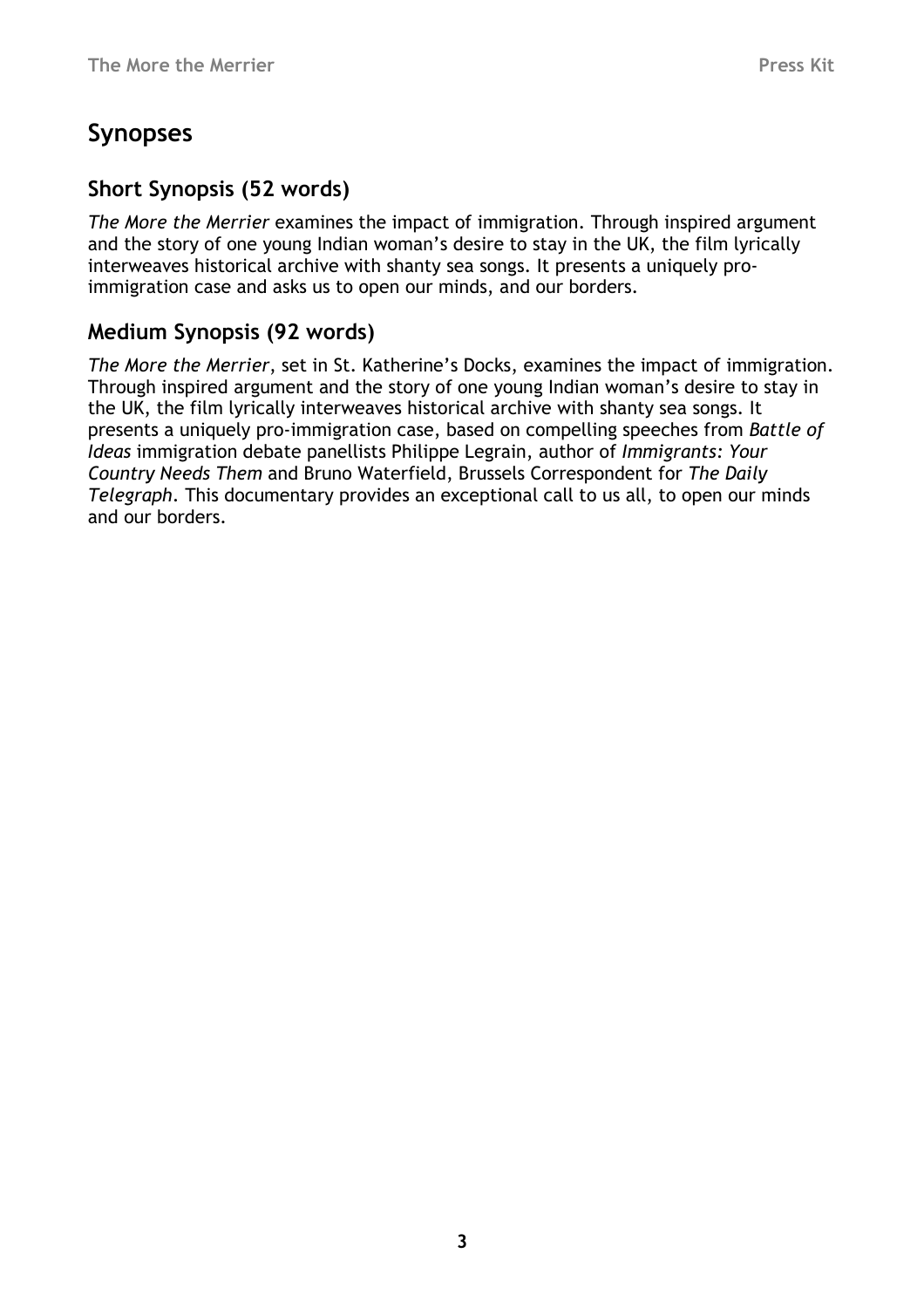# Synopses

# Short Synopsis (52 words)

The More the Merrier examines the impact of immigration. Through inspired argument and the story of one young Indian woman's desire to stay in the UK, the film lyrically interweaves historical archive with shanty sea songs. It presents a uniquely proimmigration case and asks us to open our minds, and our borders.

## Medium Synopsis (92 words)

The More the Merrier, set in St. Katherine's Docks, examines the impact of immigration. Through inspired argument and the story of one young Indian woman's desire to stay in the UK, the film lyrically interweaves historical archive with shanty sea songs. It presents a uniquely pro-immigration case, based on compelling speeches from Battle of Ideas immigration debate panellists Philippe Legrain, author of Immigrants: Your Country Needs Them and Bruno Waterfield, Brussels Correspondent for The Daily Telegraph. This documentary provides an exceptional call to us all, to open our minds and our borders.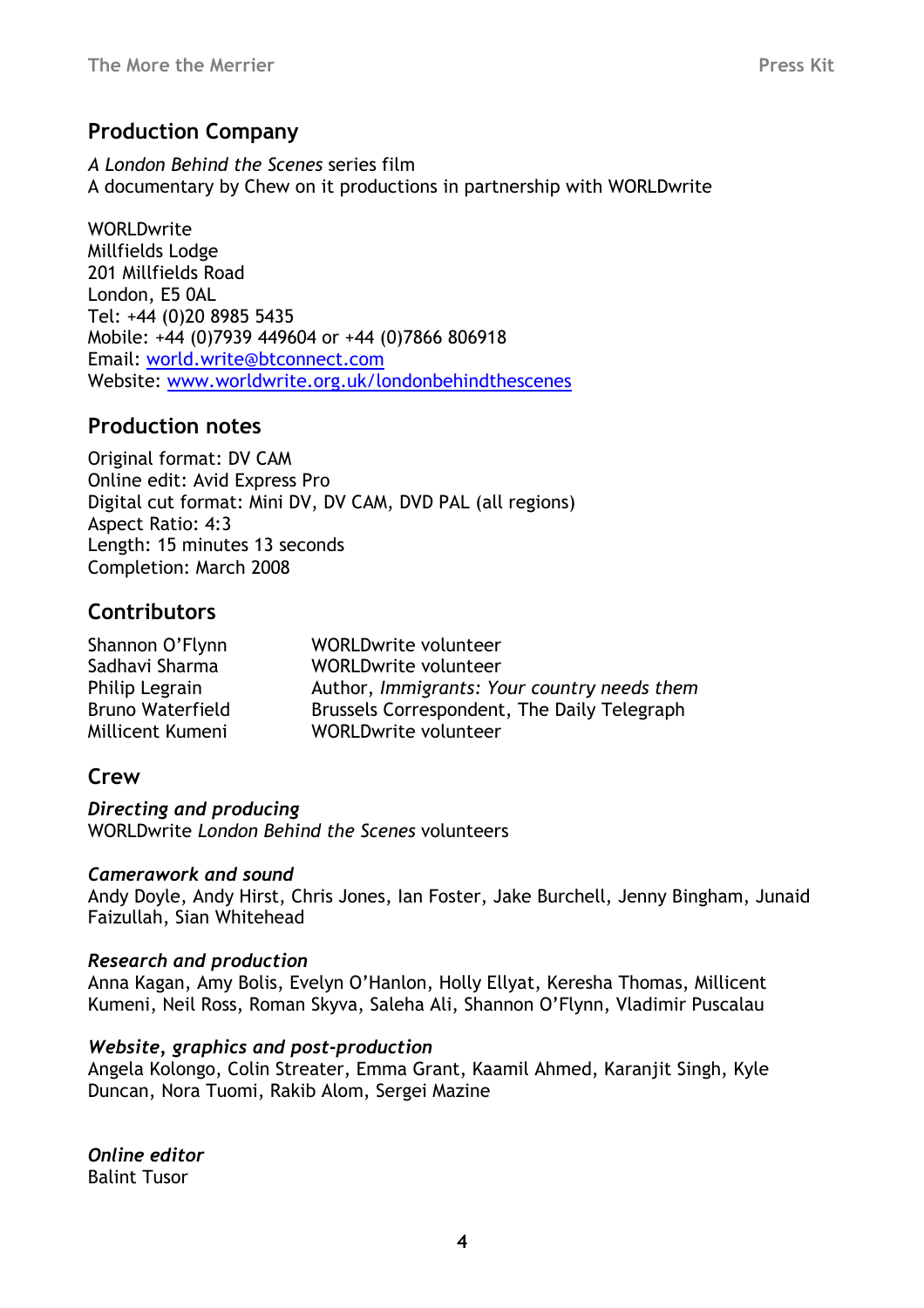## Production Company

A London Behind the Scenes series film A documentary by Chew on it productions in partnership with WORLDwrite

WORLDwrite Millfields Lodge 201 Millfields Road London, E5 0AL Tel: +44 (0)20 8985 5435 Mobile: +44 (0)7939 449604 or +44 (0)7866 806918 Email: world.write@btconnect.com Website: www.worldwrite.org.uk/londonbehindthescenes

### Production notes

Original format: DV CAM Online edit: Avid Express Pro Digital cut format: Mini DV, DV CAM, DVD PAL (all regions) Aspect Ratio: 4:3 Length: 15 minutes 13 seconds Completion: March 2008

## **Contributors**

| Shannon O'Flynn         | WORLDwrite volunteer                        |
|-------------------------|---------------------------------------------|
| Sadhavi Sharma          | WORLDwrite volunteer                        |
| Philip Legrain          | Author, Immigrants: Your country needs them |
| <b>Bruno Waterfield</b> | Brussels Correspondent, The Daily Telegraph |
| Millicent Kumeni        | WORLDwrite volunteer                        |

## **Crew**

Directing and producing WORI Dwrite London Behind the Scenes volunteers

#### Camerawork and sound

Andy Doyle, Andy Hirst, Chris Jones, Ian Foster, Jake Burchell, Jenny Bingham, Junaid Faizullah, Sian Whitehead

#### Research and production

Anna Kagan, Amy Bolis, Evelyn O'Hanlon, Holly Ellyat, Keresha Thomas, Millicent Kumeni, Neil Ross, Roman Skyva, Saleha Ali, Shannon O'Flynn, Vladimir Puscalau

#### Website, graphics and post-production

Angela Kolongo, Colin Streater, Emma Grant, Kaamil Ahmed, Karanjit Singh, Kyle Duncan, Nora Tuomi, Rakib Alom, Sergei Mazine

Online editor Balint Tusor